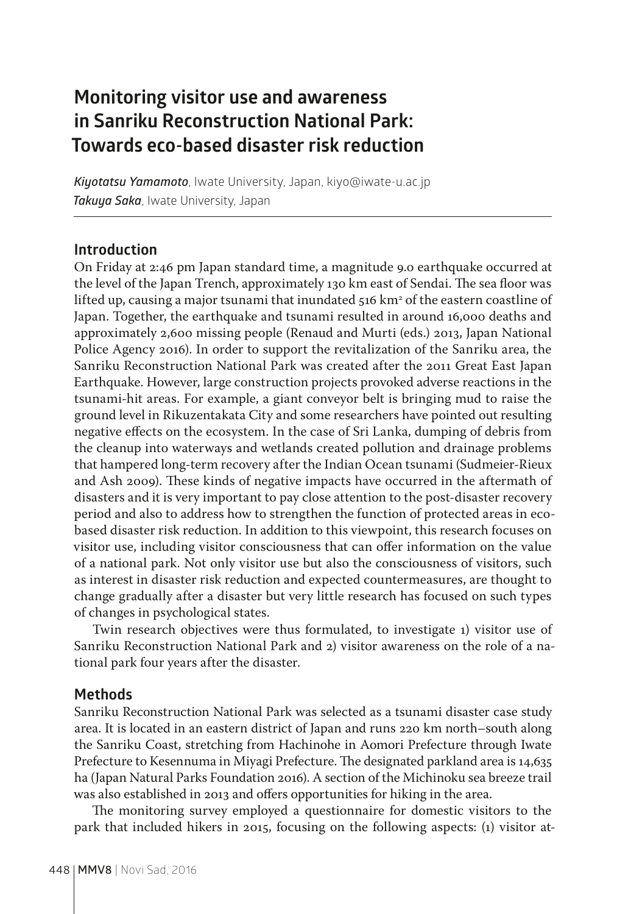# **Monitoring visitor use and awareness in Sanriku Reconstruction National Park: Towards eco-based disaster risk reduction**

*Kiyotatsu Yamamoto*, Iwate University, Japan, kiyo@iwate-u.ac.jp *Takuya Saka*, Iwate University, Japan

#### **Introduction**

On Friday at 2:46 pm Japan standard time, a magnitude 9.0 earthquake occurred at the level of the Japan Trench, approximately 130 km east of Sendai. The sea floor was lifted up, causing a major tsunami that inundated 516 km² of the eastern coastline of Japan. Together, the earthquake and tsunami resulted in around 16,000 deaths and approximately 2,600 missing people (Renaud and Murti (eds.) 2013, Japan National Police Agency 2016). In order to support the revitalization of the Sanriku area, the Sanriku Reconstruction National Park was created after the 2011 Great East Japan Earthquake. However, large construction projects provoked adverse reactions in the tsunami-hit areas. For example, a giant conveyor belt is bringing mud to raise the ground level in Rikuzentakata City and some researchers have pointed out resulting negative effects on the ecosystem. In the case of Sri Lanka, dumping of debris from the cleanup into waterways and wetlands created pollution and drainage problems that hampered long-term recovery after the Indian Ocean tsunami (Sudmeier-Rieux and Ash 2009). These kinds of negative impacts have occurred in the aftermath of disasters and it is very important to pay close attention to the post-disaster recovery period and also to address how to strengthen the function of protected areas in ecobased disaster risk reduction. In addition to this viewpoint, this research focuses on visitor use, including visitor consciousness that can offer information on the value of a national park. Not only visitor use but also the consciousness of visitors, such as interest in disaster risk reduction and expected countermeasures, are thought to change gradually after a disaster but very little research has focused on such types of changes in psychological states.

Twin research objectives were thus formulated, to investigate 1) visitor use of Sanriku Reconstruction National Park and 2) visitor awareness on the role of a national park four years after the disaster.

## **Methods**

Sanriku Reconstruction National Park was selected as a tsunami disaster case study area. It is located in an eastern district of Japan and runs 220 km north–south along the Sanriku Coast, stretching from Hachinohe in Aomori Prefecture through Iwate Prefecture to Kesennuma in Miyagi Prefecture. The designated parkland area is 14,635 ha (Japan Natural Parks Foundation 2016). A section of the Michinoku sea breeze trail was also established in 2013 and offers opportunities for hiking in the area.

The monitoring survey employed a questionnaire for domestic visitors to the park that included hikers in 2015, focusing on the following aspects: (1) visitor at-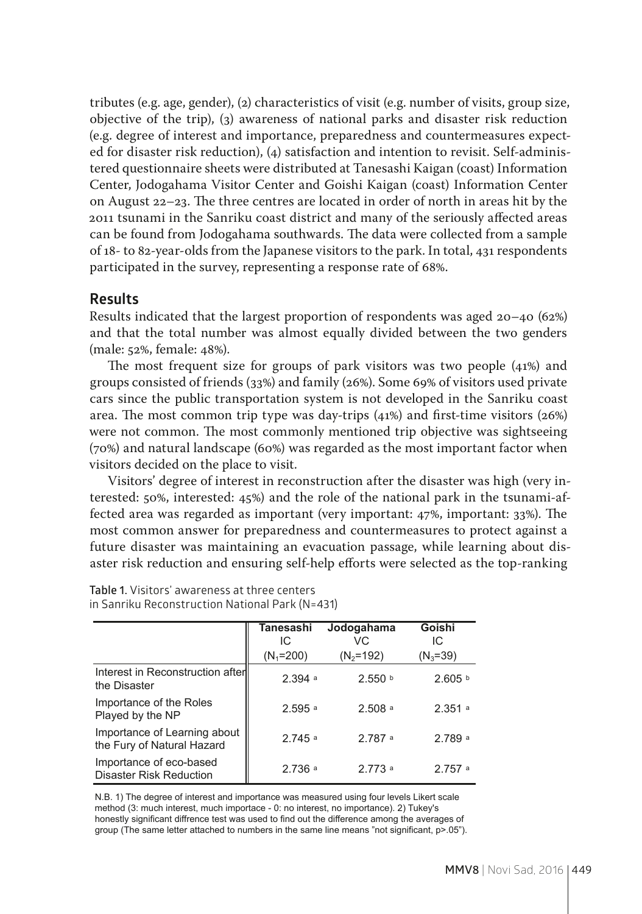tributes (e.g. age, gender), (2) characteristics of visit (e.g. number of visits, group size, objective of the trip), (3) awareness of national parks and disaster risk reduction (e.g. degree of interest and importance, preparedness and countermeasures expected for disaster risk reduction), (4) satisfaction and intention to revisit. Self-administered questionnaire sheets were distributed at Tanesashi Kaigan (coast) Information Center, Jodogahama Visitor Center and Goishi Kaigan (coast) Information Center on August 22–23. The three centres are located in order of north in areas hit by the 2011 tsunami in the Sanriku coast district and many of the seriously affected areas can be found from Jodogahama southwards. The data were collected from a sample of 18- to 82-year-olds from the Japanese visitors to the park. In total, 431 respondents participated in the survey, representing a response rate of 68%.

#### **Results**

Results indicated that the largest proportion of respondents was aged 20–40 (62%) and that the total number was almost equally divided between the two genders (male: 52%, female: 48%).

The most frequent size for groups of park visitors was two people (41%) and groups consisted of friends (33%) and family (26%). Some 69% of visitors used private cars since the public transportation system is not developed in the Sanriku coast area. The most common trip type was day-trips (41%) and first-time visitors (26%) were not common. The most commonly mentioned trip objective was sightseeing (70%) and natural landscape (60%) was regarded as the most important factor when visitors decided on the place to visit.

Visitors' degree of interest in reconstruction after the disaster was high (very interested: 50%, interested: 45%) and the role of the national park in the tsunami-affected area was regarded as important (very important: 47%, important: 33%). The most common answer for preparedness and countermeasures to protect against a future disaster was maintaining an evacuation passage, while learning about disaster risk reduction and ensuring self-help efforts were selected as the top-ranking

|                                                            | Tanesashi<br>IC      | Jodogahama<br>VC.  | Goishi<br>IC       |
|------------------------------------------------------------|----------------------|--------------------|--------------------|
|                                                            | $(N_1=200)$          | $(N_2=192)$        | $(N_3 = 39)$       |
| Interest in Reconstruction after<br>the Disaster           | 2.394a               | 2.550 <sup>b</sup> | 2.605 <sup>b</sup> |
| Importance of the Roles<br>Played by the NP                | $2.595$ <sup>a</sup> | 2.508a             | 2.351a             |
| Importance of Learning about<br>the Fury of Natural Hazard | 2745a                | 2787a              | 2.789a             |
| Importance of eco-based<br>Disaster Risk Reduction         | 2.736a               | 2 773 a            | 2757a              |

**Table 1.** Visitors' awareness at three centers in Sanriku Reconstruction National Park (N=431) National Park (N=431)

N.B. 1) The degree of interest and importance was measured using four levels Likert scale method (3: much interest, much importace - 0: no interest, no importance). 2) Tukey's honestly significant diffrence test was used to find out the difference among the averages of group (The same letter attached to numbers in the same line means "not significant, p>.05").